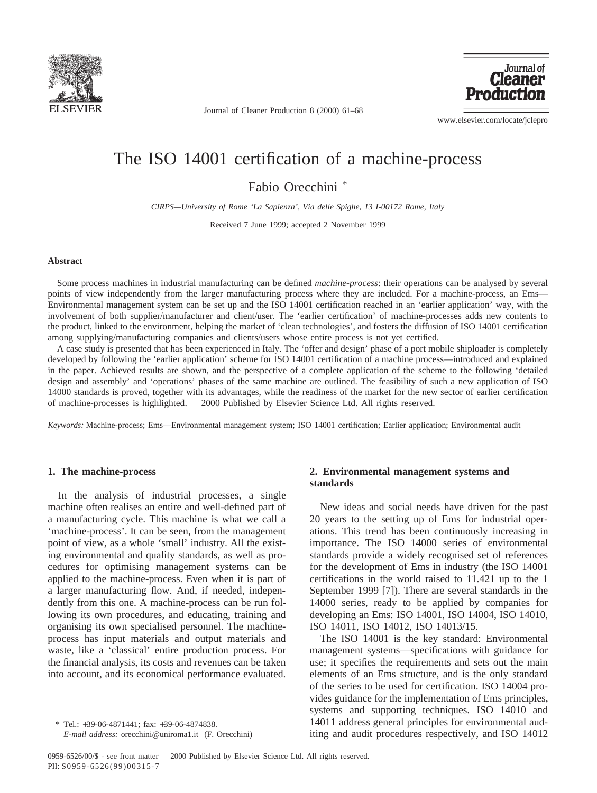

Journal of Cleaner Production 8 (2000) 61–68



www.elsevier.com/locate/jclepro

## The ISO 14001 certification of a machine-process

Fabio Orecchini \*

*CIRPS—University of Rome 'La Sapienza', Via delle Spighe, 13 I-00172 Rome, Italy*

Received 7 June 1999; accepted 2 November 1999

### **Abstract**

Some process machines in industrial manufacturing can be defined *machine-process*: their operations can be analysed by several points of view independently from the larger manufacturing process where they are included. For a machine-process, an Ems— Environmental management system can be set up and the ISO 14001 certification reached in an 'earlier application' way, with the involvement of both supplier/manufacturer and client/user. The 'earlier certification' of machine-processes adds new contents to the product, linked to the environment, helping the market of 'clean technologies', and fosters the diffusion of ISO 14001 certification among supplying/manufacturing companies and clients/users whose entire process is not yet certified.

A case study is presented that has been experienced in Italy. The 'offer and design' phase of a port mobile shiploader is completely developed by following the 'earlier application' scheme for ISO 14001 certification of a machine process—introduced and explained in the paper. Achieved results are shown, and the perspective of a complete application of the scheme to the following 'detailed design and assembly' and 'operations' phases of the same machine are outlined. The feasibility of such a new application of ISO 14000 standards is proved, together with its advantages, while the readiness of the market for the new sector of earlier certification of machine-processes is highlighted. 2000 Published by Elsevier Science Ltd. All rights reserved.

*Keywords:* Machine-process; Ems—Environmental management system; ISO 14001 certification; Earlier application; Environmental audit

#### **1. The machine-process**

In the analysis of industrial processes, a single machine often realises an entire and well-defined part of a manufacturing cycle. This machine is what we call a 'machine-process'. It can be seen, from the management point of view, as a whole 'small' industry. All the existing environmental and quality standards, as well as procedures for optimising management systems can be applied to the machine-process. Even when it is part of a larger manufacturing flow. And, if needed, independently from this one. A machine-process can be run following its own procedures, and educating, training and organising its own specialised personnel. The machineprocess has input materials and output materials and waste, like a 'classical' entire production process. For the financial analysis, its costs and revenues can be taken into account, and its economical performance evaluated.

## **2. Environmental management systems and standards**

New ideas and social needs have driven for the past 20 years to the setting up of Ems for industrial operations. This trend has been continuously increasing in importance. The ISO 14000 series of environmental standards provide a widely recognised set of references for the development of Ems in industry (the ISO 14001 certifications in the world raised to 11.421 up to the 1 September 1999 [7]). There are several standards in the 14000 series, ready to be applied by companies for developing an Ems: ISO 14001, ISO 14004, ISO 14010, ISO 14011, ISO 14012, ISO 14013/15.

The ISO 14001 is the key standard: Environmental management systems—specifications with guidance for use; it specifies the requirements and sets out the main elements of an Ems structure, and is the only standard of the series to be used for certification. ISO 14004 provides guidance for the implementation of Ems principles, systems and supporting techniques. ISO 14010 and 14011 address general principles for environmental auditing and audit procedures respectively, and ISO 14012

<sup>\*</sup> Tel.: +39-06-4871441; fax: +39-06-4874838. *E-mail address:* orecchini@uniroma1.it (F. Orecchini)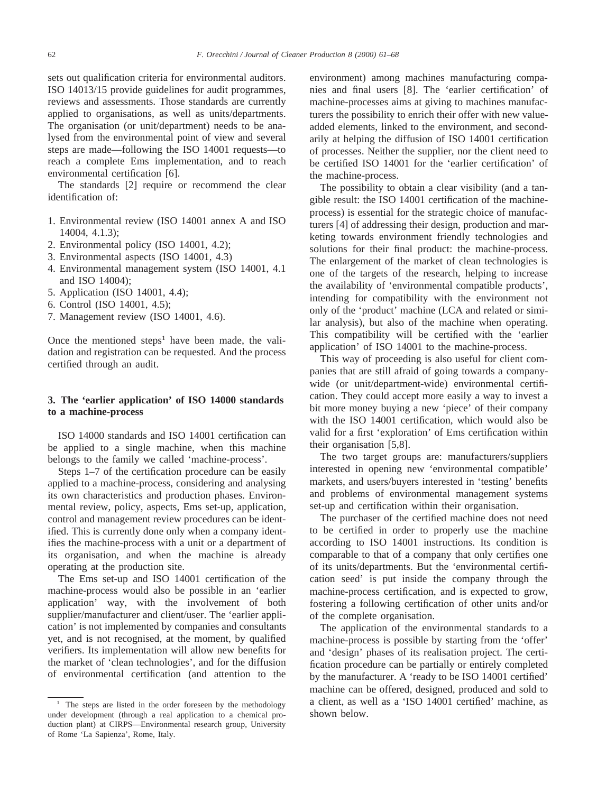sets out qualification criteria for environmental auditors. ISO 14013/15 provide guidelines for audit programmes, reviews and assessments. Those standards are currently applied to organisations, as well as units/departments. The organisation (or unit/department) needs to be analysed from the environmental point of view and several steps are made—following the ISO 14001 requests—to reach a complete Ems implementation, and to reach environmental certification [6].

The standards [2] require or recommend the clear identification of:

- 1. Environmental review (ISO 14001 annex A and ISO 14004, 4.1.3);
- 2. Environmental policy (ISO 14001, 4.2);
- 3. Environmental aspects (ISO 14001, 4.3)
- 4. Environmental management system (ISO 14001, 4.1 and ISO 14004);
- 5. Application (ISO 14001, 4.4);
- 6. Control (ISO 14001, 4.5);
- 7. Management review (ISO 14001, 4.6).

Once the mentioned steps<sup>1</sup> have been made, the validation and registration can be requested. And the process certified through an audit.

## **3. The 'earlier application' of ISO 14000 standards to a machine-process**

ISO 14000 standards and ISO 14001 certification can be applied to a single machine, when this machine belongs to the family we called 'machine-process'.

Steps 1–7 of the certification procedure can be easily applied to a machine-process, considering and analysing its own characteristics and production phases. Environmental review, policy, aspects, Ems set-up, application, control and management review procedures can be identified. This is currently done only when a company identifies the machine-process with a unit or a department of its organisation, and when the machine is already operating at the production site.

The Ems set-up and ISO 14001 certification of the machine-process would also be possible in an 'earlier application' way, with the involvement of both supplier/manufacturer and client/user. The 'earlier application' is not implemented by companies and consultants yet, and is not recognised, at the moment, by qualified verifiers. Its implementation will allow new benefits for the market of 'clean technologies', and for the diffusion of environmental certification (and attention to the environment) among machines manufacturing companies and final users [8]. The 'earlier certification' of machine-processes aims at giving to machines manufacturers the possibility to enrich their offer with new valueadded elements, linked to the environment, and secondarily at helping the diffusion of ISO 14001 certification of processes. Neither the supplier, nor the client need to be certified ISO 14001 for the 'earlier certification' of the machine-process.

The possibility to obtain a clear visibility (and a tangible result: the ISO 14001 certification of the machineprocess) is essential for the strategic choice of manufacturers [4] of addressing their design, production and marketing towards environment friendly technologies and solutions for their final product: the machine-process. The enlargement of the market of clean technologies is one of the targets of the research, helping to increase the availability of 'environmental compatible products', intending for compatibility with the environment not only of the 'product' machine (LCA and related or similar analysis), but also of the machine when operating. This compatibility will be certified with the 'earlier application' of ISO 14001 to the machine-process.

This way of proceeding is also useful for client companies that are still afraid of going towards a companywide (or unit/department-wide) environmental certification. They could accept more easily a way to invest a bit more money buying a new 'piece' of their company with the ISO 14001 certification, which would also be valid for a first 'exploration' of Ems certification within their organisation [5,8].

The two target groups are: manufacturers/suppliers interested in opening new 'environmental compatible' markets, and users/buyers interested in 'testing' benefits and problems of environmental management systems set-up and certification within their organisation.

The purchaser of the certified machine does not need to be certified in order to properly use the machine according to ISO 14001 instructions. Its condition is comparable to that of a company that only certifies one of its units/departments. But the 'environmental certification seed' is put inside the company through the machine-process certification, and is expected to grow, fostering a following certification of other units and/or of the complete organisation.

The application of the environmental standards to a machine-process is possible by starting from the 'offer' and 'design' phases of its realisation project. The certification procedure can be partially or entirely completed by the manufacturer. A 'ready to be ISO 14001 certified' machine can be offered, designed, produced and sold to a client, as well as a 'ISO 14001 certified' machine, as shown below.

<sup>&</sup>lt;sup>1</sup> The steps are listed in the order foreseen by the methodology under development (through a real application to a chemical production plant) at CIRPS—Environmental research group, University of Rome 'La Sapienza', Rome, Italy.